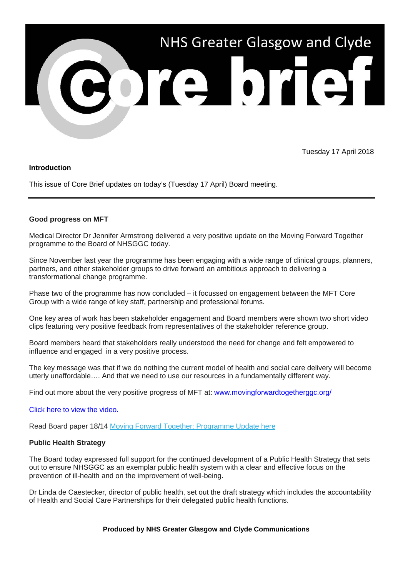

Tuesday 17 April 2018

# **Introduction**

This issue of Core Brief updates on today's (Tuesday 17 April) Board meeting.

# **Good progress on MFT**

Medical Director Dr Jennifer Armstrong delivered a very positive update on the Moving Forward Together programme to the Board of NHSGGC today.

Since November last year the programme has been engaging with a wide range of clinical groups, planners, partners, and other stakeholder groups to drive forward an ambitious approach to delivering a transformational change programme.

Phase two of the programme has now concluded – it focussed on engagement between the MFT Core Group with a wide range of key staff, partnership and professional forums.

One key area of work has been stakeholder engagement and Board members were shown two short video clips featuring very positive feedback from representatives of the stakeholder reference group.

Board members heard that stakeholders really understood the need for change and felt empowered to influence and engaged in a very positive process.

The key message was that if we do nothing the current model of health and social care delivery will become utterly unaffordable…. And that we need to use our resources in a fundamentally different way.

Find out more about the very positive progress of MFT at: [www.movingforwardtogetherggc.org/](http://www.movingforwardtogetherggc.org/)

### Click here to [view the video.](https://vimeo.com/264045480/b63090f6a4)

Read Board paper 18/14 [Moving Forward Together: Programme Update here](https://nhsggc.us12.list-manage.com/track/click?u=0f385b5aea37eaf0213bd19fb&id=8b1cddfa7b&e=5af5e1832c)

### **Public Health Strategy**

The Board today expressed full support for the continued development of a Public Health Strategy that sets out to ensure NHSGGC as an exemplar public health system with a clear and effective focus on the prevention of ill-health and on the improvement of well-being.

Dr Linda de Caestecker, director of public health, set out the draft strategy which includes the accountability of Health and Social Care Partnerships for their delegated public health functions.

### **Produced by NHS Greater Glasgow and Clyde Communications**